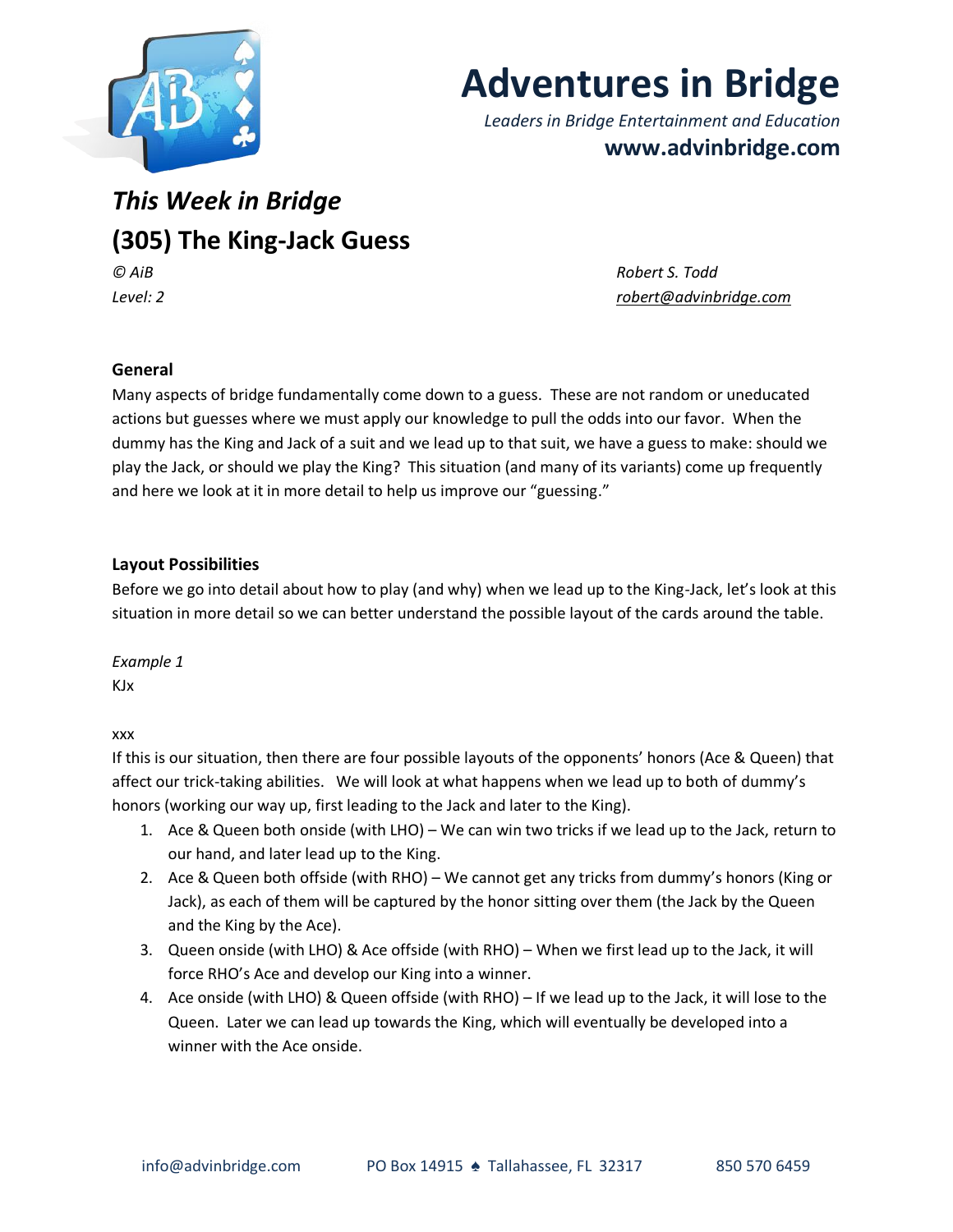

# **Adventures in Bridge**

*Leaders in Bridge Entertainment and Education* **www.advinbridge.com**

# *This Week in Bridge* **(305) The King-Jack Guess** *© AiB Robert S. Todd*

*Level: 2 [robert@advinbridge.com](mailto:robert@advinbridge.com)*

# **General**

Many aspects of bridge fundamentally come down to a guess. These are not random or uneducated actions but guesses where we must apply our knowledge to pull the odds into our favor. When the dummy has the King and Jack of a suit and we lead up to that suit, we have a guess to make: should we play the Jack, or should we play the King? This situation (and many of its variants) come up frequently and here we look at it in more detail to help us improve our "guessing."

## **Layout Possibilities**

Before we go into detail about how to play (and why) when we lead up to the King-Jack, let's look at this situation in more detail so we can better understand the possible layout of the cards around the table.

*Example 1* KJx

xxx

If this is our situation, then there are four possible layouts of the opponents' honors (Ace & Queen) that affect our trick-taking abilities. We will look at what happens when we lead up to both of dummy's honors (working our way up, first leading to the Jack and later to the King).

- 1. Ace & Queen both onside (with LHO) We can win two tricks if we lead up to the Jack, return to our hand, and later lead up to the King.
- 2. Ace & Queen both offside (with RHO) We cannot get any tricks from dummy's honors (King or Jack), as each of them will be captured by the honor sitting over them (the Jack by the Queen and the King by the Ace).
- 3. Queen onside (with LHO) & Ace offside (with RHO) When we first lead up to the Jack, it will force RHO's Ace and develop our King into a winner.
- 4. Ace onside (with LHO) & Queen offside (with RHO) If we lead up to the Jack, it will lose to the Queen. Later we can lead up towards the King, which will eventually be developed into a winner with the Ace onside.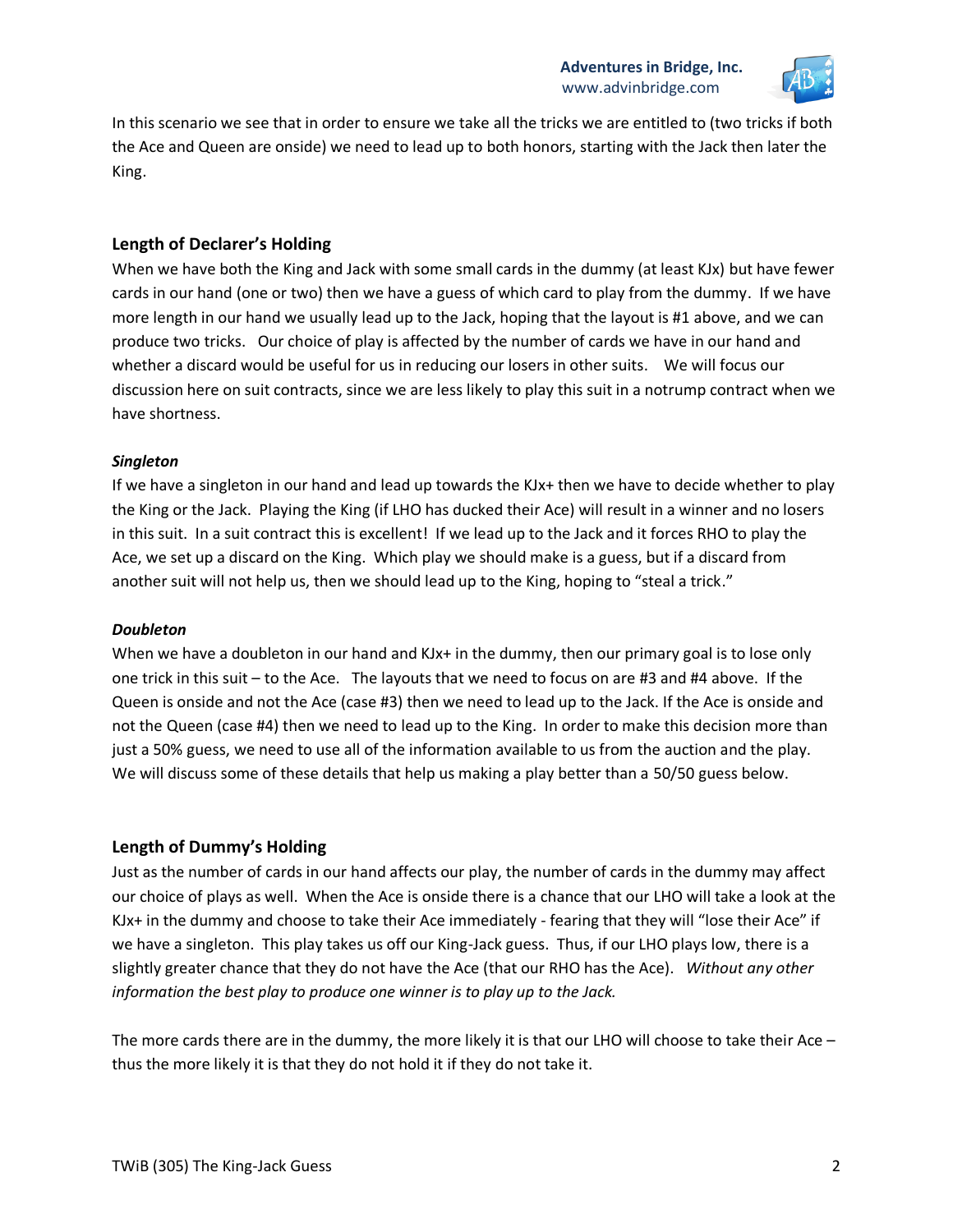

In this scenario we see that in order to ensure we take all the tricks we are entitled to (two tricks if both the Ace and Queen are onside) we need to lead up to both honors, starting with the Jack then later the King.

#### **Length of Declarer's Holding**

When we have both the King and Jack with some small cards in the dummy (at least KJx) but have fewer cards in our hand (one or two) then we have a guess of which card to play from the dummy. If we have more length in our hand we usually lead up to the Jack, hoping that the layout is #1 above, and we can produce two tricks. Our choice of play is affected by the number of cards we have in our hand and whether a discard would be useful for us in reducing our losers in other suits. We will focus our discussion here on suit contracts, since we are less likely to play this suit in a notrump contract when we have shortness.

#### *Singleton*

If we have a singleton in our hand and lead up towards the KJx+ then we have to decide whether to play the King or the Jack. Playing the King (if LHO has ducked their Ace) will result in a winner and no losers in this suit. In a suit contract this is excellent! If we lead up to the Jack and it forces RHO to play the Ace, we set up a discard on the King. Which play we should make is a guess, but if a discard from another suit will not help us, then we should lead up to the King, hoping to "steal a trick."

#### *Doubleton*

When we have a doubleton in our hand and KJx+ in the dummy, then our primary goal is to lose only one trick in this suit – to the Ace. The layouts that we need to focus on are #3 and #4 above. If the Queen is onside and not the Ace (case #3) then we need to lead up to the Jack. If the Ace is onside and not the Queen (case #4) then we need to lead up to the King. In order to make this decision more than just a 50% guess, we need to use all of the information available to us from the auction and the play. We will discuss some of these details that help us making a play better than a 50/50 guess below.

#### **Length of Dummy's Holding**

Just as the number of cards in our hand affects our play, the number of cards in the dummy may affect our choice of plays as well. When the Ace is onside there is a chance that our LHO will take a look at the KJx+ in the dummy and choose to take their Ace immediately - fearing that they will "lose their Ace" if we have a singleton. This play takes us off our King-Jack guess. Thus, if our LHO plays low, there is a slightly greater chance that they do not have the Ace (that our RHO has the Ace). *Without any other information the best play to produce one winner is to play up to the Jack.* 

The more cards there are in the dummy, the more likely it is that our LHO will choose to take their Ace – thus the more likely it is that they do not hold it if they do not take it.